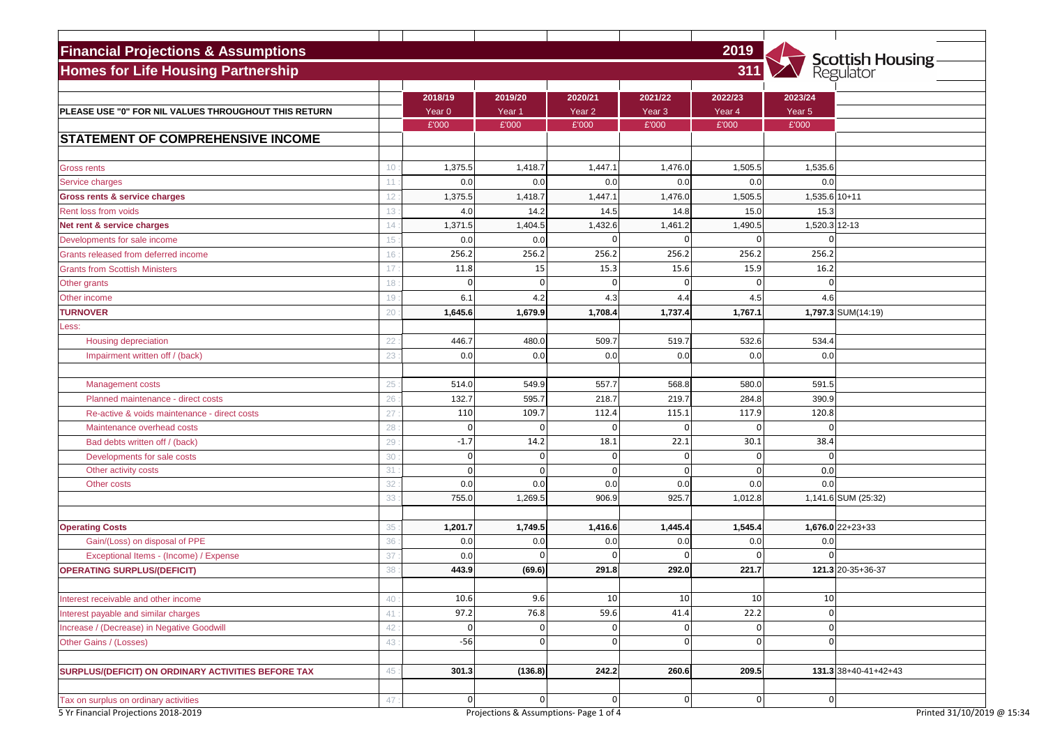| <b>Financial Projections &amp; Assumptions</b>                                |                 |                |                                             |                   |                   | 2019              |                   | <b>Scottish Housing</b><br>Regulator |
|-------------------------------------------------------------------------------|-----------------|----------------|---------------------------------------------|-------------------|-------------------|-------------------|-------------------|--------------------------------------|
| <b>Homes for Life Housing Partnership</b>                                     |                 |                |                                             |                   |                   | 311               |                   |                                      |
|                                                                               |                 | 2018/19        | 2019/20                                     | 2020/21           | 2021/22           | 2022/23           | 2023/24           |                                      |
| PLEASE USE "0" FOR NIL VALUES THROUGHOUT THIS RETURN                          |                 | Year 0         | Year <sub>1</sub>                           | Year <sub>2</sub> | Year <sub>3</sub> | Year <sub>4</sub> | Year <sub>5</sub> |                                      |
|                                                                               |                 | £'000          | £'000                                       | £'000             | £'000             | £'000             | £'000             |                                      |
| <b>STATEMENT OF COMPREHENSIVE INCOME</b>                                      |                 |                |                                             |                   |                   |                   |                   |                                      |
| <b>Gross rents</b>                                                            | 10 <sup>°</sup> | 1,375.5        | 1,418.7                                     | 1,447.1           | 1,476.0           | 1,505.5           | 1,535.6           |                                      |
| Service charges                                                               | 11              | 0.0            | 0.0                                         | 0.0               | 0.0               | 0.0               | 0.0               |                                      |
| <b>Gross rents &amp; service charges</b>                                      | 12              | 1,375.5        | 1,418.7                                     | 1,447.1           | 1,476.0           | 1,505.5           | 1,535.6 10+11     |                                      |
| Rent loss from voids                                                          | 13              | 4.0            | 14.2                                        | 14.5              | 14.8              | 15.0              | 15.3              |                                      |
| Net rent & service charges                                                    | 14              | 1,371.5        | 1,404.5                                     | 1,432.6           | 1,461.2           | 1,490.5           | 1,520.3 12-13     |                                      |
| Developments for sale income                                                  | 15              | 0.0            | 0.0                                         | $\Omega$          | $\Omega$          |                   |                   |                                      |
| Grants released from deferred income                                          | 16              | 256.2          | 256.2                                       | 256.2             | 256.2             | 256.2             | 256.2             |                                      |
| <b>Grants from Scottish Ministers</b>                                         | 17              | 11.8           | 15                                          | 15.3              | 15.6              | 15.9              | 16.2              |                                      |
| Other grants                                                                  | 18              |                | 0                                           | $\Omega$          | $\Omega$          |                   |                   |                                      |
| Other income                                                                  | 19              | 6.1            | 4.2                                         | 4.3               | 4.4               | 4.5               | 4.6               |                                      |
| <b>TURNOVER</b>                                                               | 20              | 1,645.6        | 1,679.9                                     | 1,708.4           | 1,737.4           | 1,767.1           |                   | 1,797.3 SUM(14:19)                   |
| Less:                                                                         |                 |                |                                             |                   |                   |                   |                   |                                      |
| <b>Housing depreciation</b>                                                   | 22              | 446.7          | 480.0                                       | 509.7             | 519.7             | 532.6             | 534.4             |                                      |
| Impairment written off / (back)                                               | 23              | 0.0            | 0.0                                         | 0.0               | 0.0               | 0.0               | 0.0               |                                      |
|                                                                               |                 |                |                                             |                   |                   |                   |                   |                                      |
| <b>Management costs</b>                                                       | 25              | 514.0          | 549.9                                       | 557.7             | 568.8             | 580.0             | 591.5             |                                      |
| Planned maintenance - direct costs                                            | 26              | 132.7          | 595.7                                       | 218.7             | 219.7             | 284.8             | 390.9             |                                      |
| Re-active & voids maintenance - direct costs                                  | 27              | 110            | 109.7                                       | 112.4             | 115.1             | 117.9             | 120.8             |                                      |
| Maintenance overhead costs                                                    | 28              | $\overline{0}$ | 0                                           | 0                 | 0                 | 0                 | U                 |                                      |
| Bad debts written off / (back)                                                | 29              | $-1.7$         | 14.2                                        | 18.1              | 22.1              | 30.1              | 38.4              |                                      |
| Developments for sale costs                                                   | 30              |                |                                             |                   | 0                 |                   |                   |                                      |
| Other activity costs                                                          | 31              |                |                                             | 0                 | 0                 |                   | 0.0               |                                      |
| Other costs                                                                   | 32              | 0.0            | 0.0                                         | 0.0               | 0.0               | 0.0               | 0.0               |                                      |
|                                                                               | 33              | 755.0          | 1,269.5                                     | 906.9             | 925.7             | 1,012.8           |                   | 1,141.6 SUM (25:32)                  |
| <b>Operating Costs</b>                                                        | 35              | 1,201.7        | 1,749.5                                     | 1,416.6           | 1,445.4           | 1,545.4           |                   | $1,676.0$ 22+23+33                   |
| Gain/(Loss) on disposal of PPE                                                | 36              | 0.0            | 0.0                                         | 0.0               | 0.0               | 0.0               | 0.0               |                                      |
| Exceptional Items - (Income) / Expense                                        | 37              | 0.0            |                                             |                   | 0                 |                   |                   |                                      |
| <b>OPERATING SURPLUS/(DEFICIT)</b>                                            | 38              | 443.9          | (69.6)                                      | 291.8             | 292.0             | 221.7             |                   | $121.3$ 20-35+36-37                  |
|                                                                               |                 | 10.6           | 9.6                                         | 10                | 10 <sup>1</sup>   | 10                |                   |                                      |
| Interest receivable and other income                                          | 40              |                |                                             |                   |                   |                   | 10                |                                      |
| Interest payable and similar charges                                          | 41              | 97.2           | 76.8                                        | 59.6              | 41.4              | 22.2              |                   |                                      |
| Increase / (Decrease) in Negative Goodwill                                    | 42              |                | 0                                           | 0                 | 0                 |                   | $\Omega$          |                                      |
| Other Gains / (Losses)                                                        | 43              | $-56$          | 0                                           | 0                 | 0                 | 0 <sup>1</sup>    | $\Omega$          |                                      |
| SURPLUS/(DEFICIT) ON ORDINARY ACTIVITIES BEFORE TAX                           | 45              | 301.3          | (136.8)                                     | 242.2             | 260.6             | 209.5             |                   | $131.3 38+40-41+42+43$               |
|                                                                               |                 |                |                                             |                   |                   |                   |                   |                                      |
| Tax on surplus on ordinary activities<br>5 Yr Financial Projections 2018-2019 | 47              |                | 0<br>Projections & Assumptions- Page 1 of 4 |                   | 0                 | 0                 | $\vert 0 \vert$   | Printed 31/10/2019 @ 15:34           |

|               | Scottish Housing<br>Regulator |
|---------------|-------------------------------|
|               |                               |
| 023/24        |                               |
| $ear 5$       |                               |
| $2^{000}$     |                               |
|               |                               |
|               |                               |
| 1,535.6       |                               |
| 0.0           |                               |
| 1,535.6 10+11 |                               |
| 15.3          |                               |
| 1,520.3 12-13 |                               |
| 0             |                               |
| 256.2         |                               |
| 16.2          |                               |
| 0             |                               |
| 4.6           |                               |
|               | 1,797.3 SUM(14:19)            |
|               |                               |
| 534.4         |                               |
| 0.0           |                               |
|               |                               |
| 591.5         |                               |
| 390.9         |                               |
| 120.8         |                               |
| 0             |                               |
| 38.4          |                               |
| 0             |                               |
| 0.0           |                               |
| 0.0           |                               |
|               | 1,141.6 SUM (25:32)           |
|               |                               |
|               | $1,676.0$ 22+23+33            |
| 0.0           |                               |
| 0             |                               |
|               | 121.3 20-35+36-37             |
|               |                               |
| 10            |                               |
| 0             |                               |
| 0             |                               |
| 0             |                               |
|               |                               |
|               | $131.3 38+40-41+42+43$        |
|               |                               |
| 0             |                               |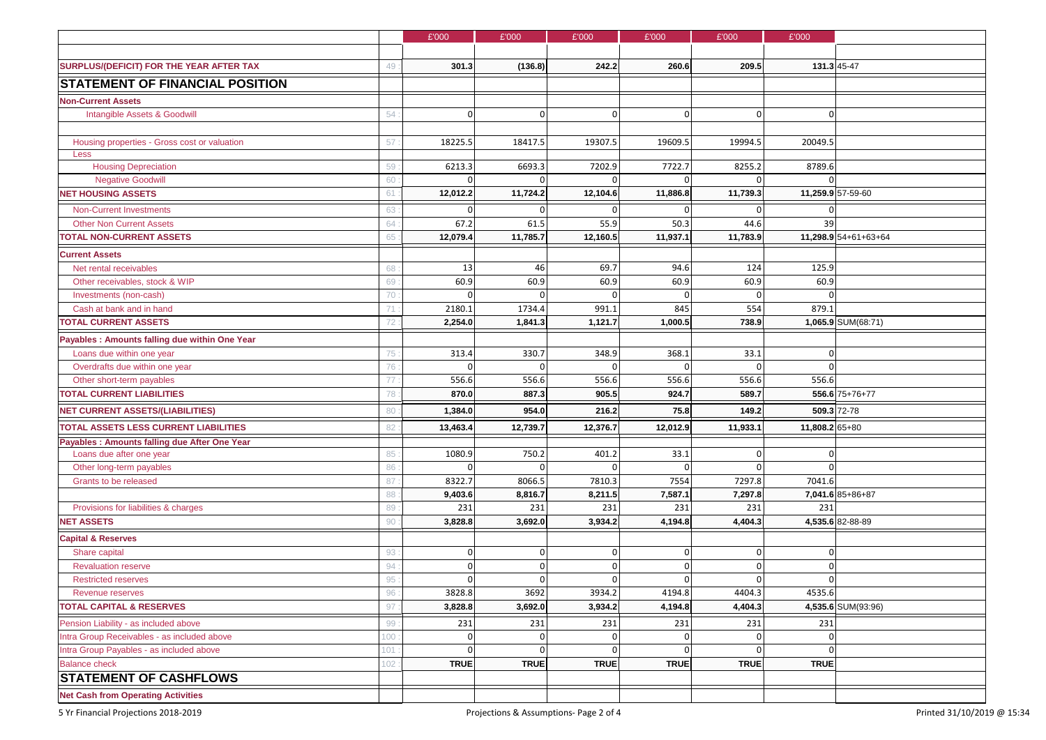|                                                    | £'000          | £'000          | £'000          | £'000          | £'000          | £'000          |                      |
|----------------------------------------------------|----------------|----------------|----------------|----------------|----------------|----------------|----------------------|
|                                                    |                |                |                |                |                |                |                      |
| SURPLUS/(DEFICIT) FOR THE YEAR AFTER TAX<br>49     | 301.3          | (136.8)        | 242.2          | 260.6          | 209.5          |                | 131.3 45-47          |
| <b>STATEMENT OF FINANCIAL POSITION</b>             |                |                |                |                |                |                |                      |
| <b>Non-Current Assets</b>                          |                |                |                |                |                |                |                      |
| Intangible Assets & Goodwill<br>54                 | $\overline{0}$ | 0              |                | $\Omega$       | $\overline{0}$ | $\overline{0}$ |                      |
|                                                    |                |                |                |                |                |                |                      |
| Housing properties - Gross cost or valuation<br>57 | 18225.5        | 18417.5        | 19307.5        | 19609.5        | 19994.5        | 20049.5        |                      |
| Less                                               |                |                |                |                |                |                |                      |
| <b>Housing Depreciation</b><br>59                  | 6213.3         | 6693.3         | 7202.9         | 7722.7         | 8255.2         | 8789.6         |                      |
| <b>Negative Goodwill</b><br>60                     |                |                |                |                |                |                |                      |
| <b>NET HOUSING ASSETS</b><br>61                    | 12,012.2       | 11,724.2       | 12,104.6       | 11,886.8       | 11,739.3       |                | 11,259.9 57-59-60    |
| <b>Non-Current Investments</b><br>63               |                | 0              |                |                |                |                |                      |
| <b>Other Non Current Assets</b><br>64              | 67.2           | 61.5           | 55.9           | 50.3           | 44.6           | 39             |                      |
| <b>TOTAL NON-CURRENT ASSETS</b><br>65              | 12,079.4       | 11,785.7       | 12,160.5       | 11,937.1       | 11,783.9       |                | 11,298.9 54+61+63+64 |
| <b>Current Assets</b>                              |                |                |                |                |                |                |                      |
| Net rental receivables<br>68                       | 13             | 46             | 69.7           | 94.6           | 124            | 125.9          |                      |
| Other receivables, stock & WIP<br>69               | 60.9           | 60.9           | 60.9           | 60.9           | 60.9           | 60.9           |                      |
| 70<br>Investments (non-cash)                       | $\Omega$       | $\Omega$       |                |                |                |                |                      |
| Cash at bank and in hand<br>71                     | 2180.1         | 1734.4         | 991.1          | 845            | 554            | 879.1          |                      |
| <b>TOTAL CURRENT ASSETS</b><br>72                  | 2,254.0        | 1,841.3        | 1,121.7        | 1,000.5        | 738.9          |                | 1,065.9 SUM(68:71)   |
| Payables : Amounts falling due within One Year     |                |                |                |                |                |                |                      |
| Loans due within one year<br>75                    | 313.4          | 330.7          | 348.9          | 368.1          | 33.1           | 0              |                      |
| Overdrafts due within one year<br>76               | 0              | 0              |                | ∩              | 0              | $\Omega$       |                      |
| Other short-term payables<br>77                    | 556.6          | 556.6          | 556.6          | 556.6          | 556.6          | 556.6          |                      |
| <b>TOTAL CURRENT LIABILITIES</b><br>78             | 870.0          | 887.3          | 905.5          | 924.7          | 589.7          |                | 556.6 75+76+77       |
| <b>NET CURRENT ASSETS/(LIABILITIES)</b><br>80      | 1,384.0        | 954.0          | 216.2          | 75.8           | 149.2          |                | 509.3 72-78          |
| <b>TOTAL ASSETS LESS CURRENT LIABILITIES</b><br>82 | 13,463.4       | 12,739.7       | 12,376.7       | 12,012.9       | 11,933.1       | 11,808.2 65+80 |                      |
| Payables : Amounts falling due After One Year      |                |                |                |                |                |                |                      |
| Loans due after one year<br>85                     | 1080.9         | 750.2          | 401.2          | 33.1           | 0              | 0              |                      |
| Other long-term payables<br>86                     | 0              | $\overline{0}$ |                |                | 0              |                |                      |
| Grants to be released<br>87                        | 8322.7         | 8066.5         | 7810.3         | 7554           | 7297.8         | 7041.6         | 7,041.6 85+86+87     |
| 88<br>Provisions for liabilities & charges<br>89   | 9,403.6<br>231 | 8,816.7<br>231 | 8,211.5<br>231 | 7,587.1<br>231 | 7,297.8<br>231 | 231            |                      |
| <b>NET ASSETS</b><br>90                            | 3,828.8        | 3,692.0        | 3,934.2        | 4,194.8        | 4,404.3        |                | 4,535.6 82-88-89     |
| <b>Capital &amp; Reserves</b>                      |                |                |                |                |                |                |                      |
| 93<br>Share capital                                | 0              | 0              |                | $\overline{0}$ | $\Omega$       | $\mathbf 0$    |                      |
| <b>Revaluation reserve</b><br>94                   |                | $\Omega$       |                |                |                |                |                      |
| 95<br><b>Restricted reserves</b>                   |                | $\Omega$       |                |                |                |                |                      |
| 96<br><b>Revenue reserves</b>                      | 3828.8         | 3692           | 3934.2         | 4194.8         | 4404.3         | 4535.6         |                      |
| <b>TOTAL CAPITAL &amp; RESERVES</b><br>97          | 3,828.8        | 3,692.0        | 3,934.2        | 4,194.8        | 4,404.3        |                | 4,535.6 SUM(93:96)   |
| Pension Liability - as included above<br>99        | 231            | 231            | 231            | 231            | 231            | 231            |                      |
| Intra Group Receivables - as included above<br>100 |                | $\overline{0}$ |                |                |                |                |                      |
| Intra Group Payables - as included above<br>101    |                | $\Omega$       |                |                |                |                |                      |
| <b>Balance check</b><br>102                        | <b>TRUE</b>    | <b>TRUE</b>    | <b>TRUE</b>    | <b>TRUE</b>    | <b>TRUE</b>    | <b>TRUE</b>    |                      |
| <b>STATEMENT OF CASHFLOWS</b>                      |                |                |                |                |                |                |                      |
| <b>Net Cash from Operating Activities</b>          |                |                |                |                |                |                |                      |
|                                                    |                |                |                |                |                |                |                      |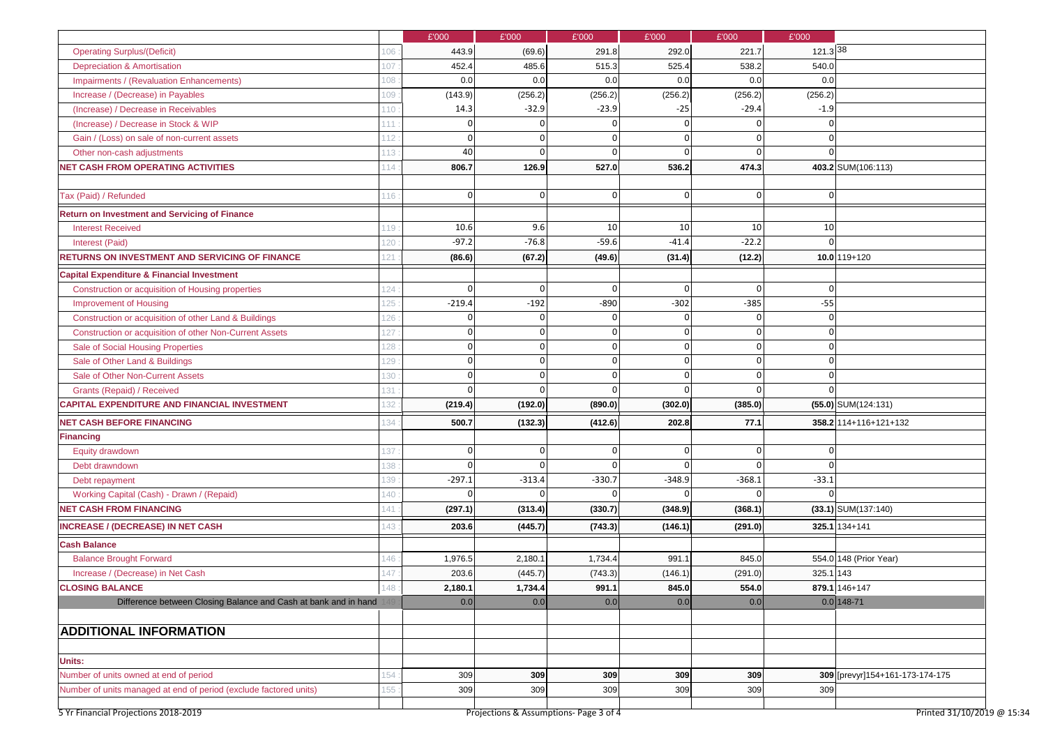|                                                                                                             |     | £'000      | £'000      | £'000      | £'000           | £'000      | £'000           |                                   |
|-------------------------------------------------------------------------------------------------------------|-----|------------|------------|------------|-----------------|------------|-----------------|-----------------------------------|
| <b>Operating Surplus/(Deficit)</b>                                                                          | 106 | 443.9      | (69.6)     | 291.8      | 292.0           | 221.7      | 121.3 38        |                                   |
| <b>Depreciation &amp; Amortisation</b>                                                                      | 107 | 452.4      | 485.6      | 515.3      | 525.4           | 538.2      | 540.0           |                                   |
| <b>Impairments / (Revaluation Enhancements)</b>                                                             | 108 | 0.0        | 0.0        | 0.0        | 0.0             | 0.0        | 0.0             |                                   |
| Increase / (Decrease) in Payables                                                                           | 109 | (143.9)    | (256.2)    | (256.2)    | (256.2)         | (256.2)    | (256.2)         |                                   |
| (Increase) / Decrease in Receivables                                                                        | 110 | 14.3       | $-32.9$    | $-23.9$    | $-25$           | $-29.4$    | $-1.9$          |                                   |
| (Increase) / Decrease in Stock & WIP                                                                        | 111 |            |            |            | 0               |            |                 |                                   |
| Gain / (Loss) on sale of non-current assets                                                                 | 12  |            |            | O          | $\Omega$        |            |                 |                                   |
| Other non-cash adjustments                                                                                  | 113 | 40         |            | ∩          | $\Omega$        |            |                 |                                   |
| <b>NET CASH FROM OPERATING ACTIVITIES</b>                                                                   | 114 | 806.7      | 126.9      | 527.0      | 536.2           | 474.3      |                 | 403.2 SUM(106:113)                |
| Tax (Paid) / Refunded                                                                                       | 116 | $\Omega$   | 0          | 0          | 0               |            |                 |                                   |
| <b>Return on Investment and Servicing of Finance</b>                                                        |     |            |            |            |                 |            |                 |                                   |
| <b>Interest Received</b>                                                                                    | 119 | 10.6       | 9.6        | 10         | 10 <sup>1</sup> | 10         | 10 <sup>1</sup> |                                   |
|                                                                                                             | 120 | $-97.2$    | $-76.8$    | $-59.6$    | $-41.4$         | $-22.2$    |                 |                                   |
| Interest (Paid)                                                                                             |     |            |            |            |                 |            |                 |                                   |
| <b>RETURNS ON INVESTMENT AND SERVICING OF FINANCE</b>                                                       | 121 | (86.6)     | (67.2)     | (49.6)     | (31.4)          | (12.2)     |                 | $10.0$ 119+120                    |
| <b>Capital Expenditure &amp; Financial Investment</b>                                                       |     |            |            |            |                 |            |                 |                                   |
| Construction or acquisition of Housing properties                                                           | 124 | $\sqrt{ }$ | $\Omega$   | $\Omega$   | $\Omega$        |            |                 |                                   |
| <b>Improvement of Housing</b>                                                                               | 125 | $-219.4$   | $-192$     | $-890$     | $-302$          | $-385$     | $-55$           |                                   |
| Construction or acquisition of other Land & Buildings                                                       | 126 |            |            |            | $\Omega$        |            |                 |                                   |
| Construction or acquisition of other Non-Current Assets                                                     | 127 |            |            | $\Omega$   | 0               |            |                 |                                   |
| Sale of Social Housing Properties                                                                           | 128 |            |            | $\Omega$   | $\Omega$        |            |                 |                                   |
| Sale of Other Land & Buildings                                                                              | 129 |            |            |            | $\Omega$        |            |                 |                                   |
| Sale of Other Non-Current Assets                                                                            | 130 |            |            | $\Omega$   | $\Omega$        |            |                 |                                   |
| Grants (Repaid) / Received                                                                                  | 131 |            |            |            | $\Omega$        |            |                 |                                   |
| <b>CAPITAL EXPENDITURE AND FINANCIAL INVESTMENT</b>                                                         | 132 | (219.4)    | (192.0)    | (890.0)    | (302.0)         | (385.0)    |                 | $(55.0)$ SUM $(124:131)$          |
| <b>NET CASH BEFORE FINANCING</b>                                                                            | 34  | 500.7      | (132.3)    | (412.6)    | 202.8           | 77.1       |                 | 358.2 114+116+121+132             |
| <b>Financing</b>                                                                                            |     |            |            |            |                 |            |                 |                                   |
| Equity drawdown                                                                                             | 137 |            |            | 0          | $\Omega$        |            |                 |                                   |
| Debt drawndown                                                                                              | 138 |            |            |            | $\Omega$        |            |                 |                                   |
| Debt repayment                                                                                              | 139 | $-297.1$   | $-313.4$   | $-330.7$   | $-348.9$        | $-368.1$   | $-33.1$         |                                   |
| Working Capital (Cash) - Drawn / (Repaid)                                                                   | 140 |            |            |            |                 |            |                 |                                   |
| <b>NET CASH FROM FINANCING</b>                                                                              | 141 | (297.1)    | (313.4)    | (330.7)    | (348.9)         | (368.1)    |                 | $(33.1)$ SUM $(137:140)$          |
| <b>INCREASE / (DECREASE) IN NET CASH</b>                                                                    | 143 | 203.6      | (445.7)    | (743.3)    | (146.1)         | (291.0)    |                 | $325.1 134+141$                   |
| <b>Cash Balance</b>                                                                                         |     |            |            |            |                 |            |                 |                                   |
| <b>Balance Brought Forward</b>                                                                              | 146 | 1,976.5    | 2,180.1    | 1,734.4    | 991.1           | 845.0      |                 | 554.0 148 (Prior Year)            |
| Increase / (Decrease) in Net Cash                                                                           | 147 | 203.6      | (445.7)    | (743.3)    | (146.1)         | (291.0)    | $325.1$ 143     |                                   |
| <b>CLOSING BALANCE</b>                                                                                      | 148 | 2,180.1    | 1,734.4    | 991.1      | 845.0           | 554.0      |                 | 879.1 146+147                     |
|                                                                                                             |     |            | 0.0        | 0.0        | 0.0             | 0.0        |                 | $0.0$ 148-71                      |
| Difference between Closing Balance and Cash at bank and in hand                                             |     | 0.0        |            |            |                 |            |                 |                                   |
|                                                                                                             |     |            |            |            |                 |            |                 |                                   |
| <b>ADDITIONAL INFORMATION</b>                                                                               |     |            |            |            |                 |            |                 |                                   |
| <b>Units:</b>                                                                                               |     |            |            |            |                 |            |                 |                                   |
| Number of units owned at end of period<br>Number of units managed at end of period (exclude factored units) | 154 | 309<br>309 | 309<br>309 | 309<br>309 | 309<br>309      | 309<br>309 | 309             | 309 [[prevyr] 154+161-173-174-175 |